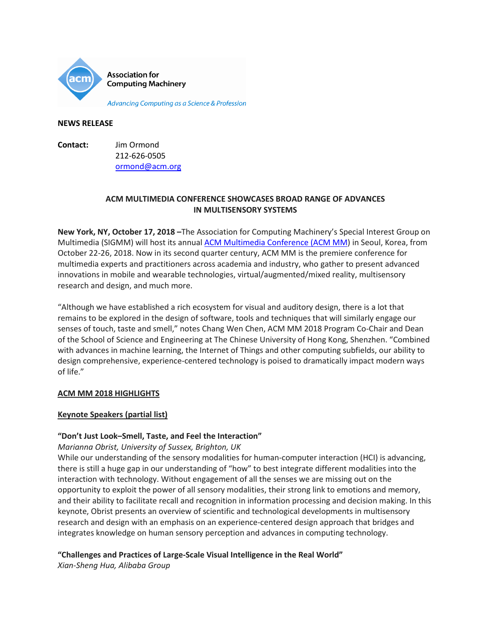

Advancing Computing as a Science & Profession

#### **NEWS RELEASE**

**Contact:** Jim Ormond 212-626-0505 [ormond@acm.org](mailto:ormond@acm.org)

# **ACM MULTIMEDIA CONFERENCE SHOWCASES BROAD RANGE OF ADVANCES IN MULTISENSORY SYSTEMS**

**New York, NY, October 17, 2018 –**The Association for Computing Machinery's Special Interest Group on Multimedia (SIGMM) will host its annual [ACM Multimedia Conference \(ACM MM\)](http://www.acmmm.org/2018/) in Seoul, Korea, from October 22-26, 2018. Now in its second quarter century, ACM MM is the premiere conference for multimedia experts and practitioners across academia and industry, who gather to present advanced innovations in mobile and wearable technologies, virtual/augmented/mixed reality, multisensory research and design, and much more.

"Although we have established a rich ecosystem for visual and auditory design, there is a lot that remains to be explored in the design of software, tools and techniques that will similarly engage our senses of touch, taste and smell," notes Chang Wen Chen, ACM MM 2018 Program Co-Chair and Dean of the School of Science and Engineering at The Chinese University of Hong Kong, Shenzhen. "Combined with advances in machine learning, the Internet of Things and other computing subfields, our ability to design comprehensive, experience-centered technology is poised to dramatically impact modern ways of life."

# **ACM MM 2018 HIGHLIGHTS**

### **Keynote Speakers (partial list)**

### **"Don't Just Look–Smell, Taste, and Feel the Interaction"**

*Marianna Obrist, University of Sussex, Brighton, UK*

While our understanding of the sensory modalities for human-computer interaction (HCI) is advancing, there is still a huge gap in our understanding of "how" to best integrate different modalities into the interaction with technology. Without engagement of all the senses we are missing out on the opportunity to exploit the power of all sensory modalities, their strong link to emotions and memory, and their ability to facilitate recall and recognition in information processing and decision making. In this keynote, Obrist presents an overview of scientific and technological developments in multisensory research and design with an emphasis on an experience-centered design approach that bridges and integrates knowledge on human sensory perception and advances in computing technology.

# **"Challenges and Practices of Large-Scale Visual Intelligence in the Real World"**

*Xian-Sheng Hua, Alibaba Group*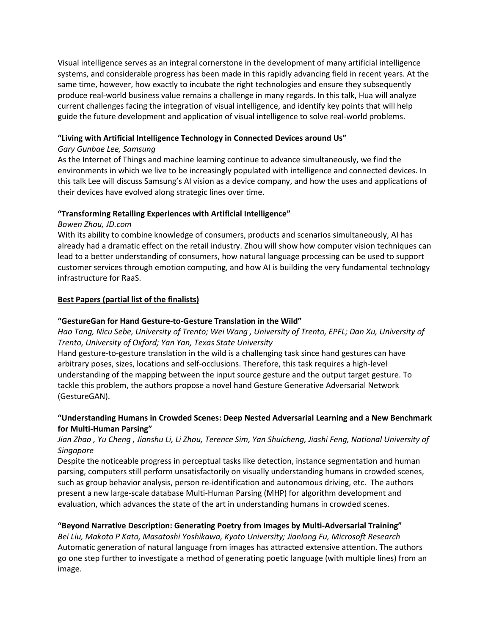Visual intelligence serves as an integral cornerstone in the development of many artificial intelligence systems, and considerable progress has been made in this rapidly advancing field in recent years. At the same time, however, how exactly to incubate the right technologies and ensure they subsequently produce real-world business value remains a challenge in many regards. In this talk, Hua will analyze current challenges facing the integration of visual intelligence, and identify key points that will help guide the future development and application of visual intelligence to solve real-world problems.

## **"Living with Artificial Intelligence Technology in Connected Devices around Us"**

## *Gary Gunbae Lee, Samsung*

As the Internet of Things and machine learning continue to advance simultaneously, we find the environments in which we live to be increasingly populated with intelligence and connected devices. In this talk Lee will discuss Samsung's AI vision as a device company, and how the uses and applications of their devices have evolved along strategic lines over time.

## **"Transforming Retailing Experiences with Artificial Intelligence"**

### *Bowen Zhou, JD.com*

With its ability to combine knowledge of consumers, products and scenarios simultaneously, AI has already had a dramatic effect on the retail industry. Zhou will show how computer vision techniques can lead to a better understanding of consumers, how natural language processing can be used to support customer services through emotion computing, and how AI is building the very fundamental technology infrastructure for RaaS.

## **Best Papers (partial list of the finalists)**

## **"GestureGan for Hand Gesture-to-Gesture Translation in the Wild"**

*Hao Tang, Nicu Sebe, University of Trento; Wei Wang , University of Trento, EPFL; Dan Xu, University of Trento, University of Oxford; Yan Yan, Texas State University*

Hand gesture-to-gesture translation in the wild is a challenging task since hand gestures can have arbitrary poses, sizes, locations and self-occlusions. Therefore, this task requires a high-level understanding of the mapping between the input source gesture and the output target gesture. To tackle this problem, the authors propose a novel hand Gesture Generative Adversarial Network (GestureGAN).

# **"Understanding Humans in Crowded Scenes: Deep Nested Adversarial Learning and a New Benchmark for Multi-Human Parsing"**

# *Jian Zhao , Yu Cheng , Jianshu Li, Li Zhou, Terence Sim, Yan Shuicheng, Jiashi Feng, National University of Singapore*

Despite the noticeable progress in perceptual tasks like detection, instance segmentation and human parsing, computers still perform unsatisfactorily on visually understanding humans in crowded scenes, such as group behavior analysis, person re-identification and autonomous driving, etc. The authors present a new large-scale database Multi-Human Parsing (MHP) for algorithm development and evaluation, which advances the state of the art in understanding humans in crowded scenes.

# **"Beyond Narrative Description: Generating Poetry from Images by Multi-Adversarial Training"**

*Bei Liu, Makoto P Kato, Masatoshi Yoshikawa, Kyoto University; Jianlong Fu, Microsoft Research* Automatic generation of natural language from images has attracted extensive attention. The authors go one step further to investigate a method of generating poetic language (with multiple lines) from an image.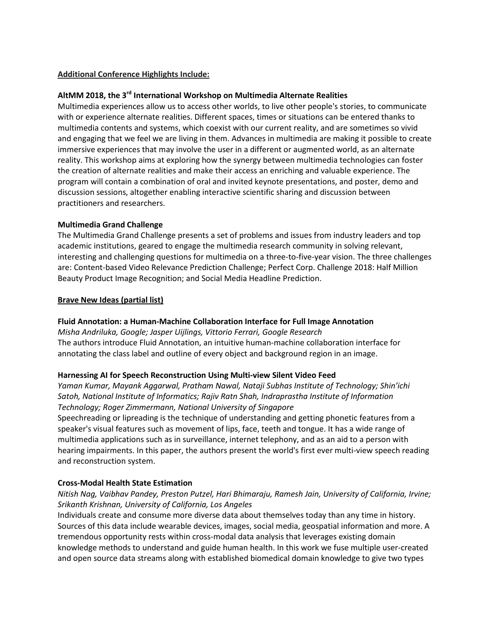### **Additional Conference Highlights Include:**

### **AltMM 2018, the 3rd International Workshop on Multimedia Alternate Realities**

Multimedia experiences allow us to access other worlds, to live other people's stories, to communicate with or experience alternate realities. Different spaces, times or situations can be entered thanks to multimedia contents and systems, which coexist with our current reality, and are sometimes so vivid and engaging that we feel we are living in them. Advances in multimedia are making it possible to create immersive experiences that may involve the user in a different or augmented world, as an alternate reality. This workshop aims at exploring how the synergy between multimedia technologies can foster the creation of alternate realities and make their access an enriching and valuable experience. The program will contain a combination of oral and invited keynote presentations, and poster, demo and discussion sessions, altogether enabling interactive scientific sharing and discussion between practitioners and researchers.

#### **Multimedia Grand Challenge**

The Multimedia Grand Challenge presents a set of problems and issues from industry leaders and top academic institutions, geared to engage the multimedia research community in solving relevant, interesting and challenging questions for multimedia on a three-to-five-year vision. The three challenges are: Content-based Video Relevance Prediction Challenge; Perfect Corp. Challenge 2018: Half Million Beauty Product Image Recognition; and Social Media Headline Prediction.

#### **Brave New Ideas (partial list)**

### **Fluid Annotation: a Human-Machine Collaboration Interface for Full Image Annotation**

*Misha Andriluka, Google; Jasper Uijlings, Vittorio Ferrari, Google Research* The authors introduce Fluid Annotation, an intuitive human-machine collaboration interface for annotating the class label and outline of every object and background region in an image.

### **Harnessing AI for Speech Reconstruction Using Multi-view Silent Video Feed**

*Yaman Kumar, Mayank Aggarwal, Pratham Nawal, Nataji Subhas Institute of Technology; Shin'ichi Satoh, National Institute of Informatics; Rajiv Ratn Shah, Indraprastha Institute of Information Technology; Roger Zimmermann, National University of Singapore*

Speechreading or lipreading is the technique of understanding and getting phonetic features from a speaker's visual features such as movement of lips, face, teeth and tongue. It has a wide range of multimedia applications such as in surveillance, internet telephony, and as an aid to a person with hearing impairments. In this paper, the authors present the world's first ever multi-view speech reading and reconstruction system.

### **Cross-Modal Health State Estimation**

## *Nitish Nag, Vaibhav Pandey, Preston Putzel, Hari Bhimaraju, Ramesh Jain, University of California, Irvine; Srikanth Krishnan, University of California, Los Angeles*

Individuals create and consume more diverse data about themselves today than any time in history. Sources of this data include wearable devices, images, social media, geospatial information and more. A tremendous opportunity rests within cross-modal data analysis that leverages existing domain knowledge methods to understand and guide human health. In this work we fuse multiple user-created and open source data streams along with established biomedical domain knowledge to give two types